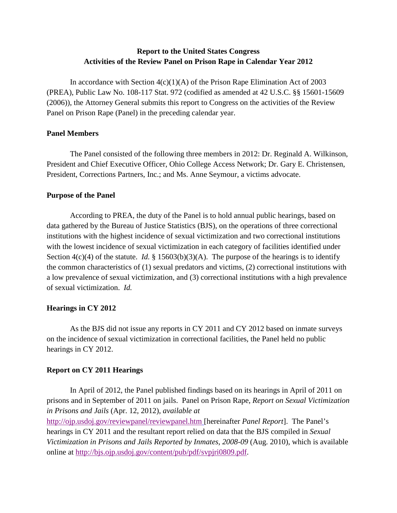## **Report to the United States Congress Activities of the Review Panel on Prison Rape in Calendar Year 2012**

In accordance with Section  $4(c)(1)(A)$  of the Prison Rape Elimination Act of 2003 (PREA), Public Law No. 108-117 Stat. 972 (codified as amended at 42 U.S.C. §§ 15601-15609 (2006)), the Attorney General submits this report to Congress on the activities of the Review Panel on Prison Rape (Panel) in the preceding calendar year.

#### **Panel Members**

The Panel consisted of the following three members in 2012: Dr. Reginald A. Wilkinson, President and Chief Executive Officer, Ohio College Access Network; Dr. Gary E. Christensen, President, Corrections Partners, Inc.; and Ms. Anne Seymour, a victims advocate.

#### **Purpose of the Panel**

 of sexual victimization. *Id.*  According to PREA, the duty of the Panel is to hold annual public hearings, based on data gathered by the Bureau of Justice Statistics (BJS), on the operations of three correctional institutions with the highest incidence of sexual victimization and two correctional institutions with the lowest incidence of sexual victimization in each category of facilities identified under Section  $4(c)(4)$  of the statute. *Id.* § 15603(b)(3)(A). The purpose of the hearings is to identify the common characteristics of (1) sexual predators and victims, (2) correctional institutions with a low prevalence of sexual victimization, and (3) correctional institutions with a high prevalence

#### **Hearings in CY 2012**

 As the BJS did not issue any reports in CY 2011 and CY 2012 based on inmate surveys on the incidence of sexual victimization in correctional facilities, the Panel held no public hearings in CY 2012.

#### **Report on CY 2011 Hearings**

In April of 2012, the Panel published findings based on its hearings in April of 2011 on prisons and in September of 2011 on jails. Panel on Prison Rape, *Report on Sexual Victimization in Prisons and Jails* (Apr. 12, 2012), *available at* 

 http://ojp.usdoj.gov/reviewpanel/reviewpanel.htm [hereinafter *Panel Report*]. The Panel's hearings in CY 2011 and the resultant report relied on data that the BJS compiled in *Sexual Victimization in Prisons and Jails Reported by Inmates, 2008-09* (Aug. 2010), which is available online at http://bjs.ojp.usdoj.gov/content/pub/pdf/svpjri0809.pdf.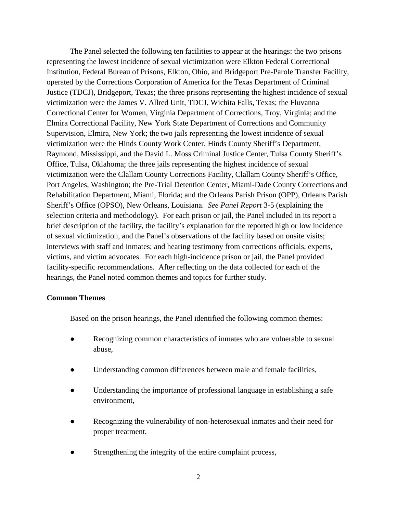Institution, Federal Bureau of Prisons, Elkton, Ohio, and Bridgeport Pre-Parole Transfer Facility, Correctional Center for Women, Virginia Department of Corrections, Troy, Virginia; and the The Panel selected the following ten facilities to appear at the hearings: the two prisons representing the lowest incidence of sexual victimization were Elkton Federal Correctional operated by the Corrections Corporation of America for the Texas Department of Criminal Justice (TDCJ), Bridgeport, Texas; the three prisons representing the highest incidence of sexual victimization were the James V. Allred Unit, TDCJ, Wichita Falls, Texas; the Fluvanna Elmira Correctional Facility, New York State Department of Corrections and Community Supervision, Elmira, New York; the two jails representing the lowest incidence of sexual victimization were the Hinds County Work Center, Hinds County Sheriff's Department, Raymond, Mississippi, and the David L. Moss Criminal Justice Center, Tulsa County Sheriff's Office, Tulsa, Oklahoma; the three jails representing the highest incidence of sexual victimization were the Clallam County Corrections Facility, Clallam County Sheriff's Office, Port Angeles, Washington; the Pre-Trial Detention Center, Miami-Dade County Corrections and Rehabilitation Department, Miami, Florida; and the Orleans Parish Prison (OPP), Orleans Parish Sheriff's Office (OPSO), New Orleans, Louisiana. *See Panel Report* 3-5 (explaining the selection criteria and methodology). For each prison or jail, the Panel included in its report a brief description of the facility, the facility's explanation for the reported high or low incidence of sexual victimization, and the Panel's observations of the facility based on onsite visits; interviews with staff and inmates; and hearing testimony from corrections officials, experts, victims, and victim advocates. For each high-incidence prison or jail, the Panel provided facility-specific recommendations. After reflecting on the data collected for each of the hearings, the Panel noted common themes and topics for further study.

#### **Common Themes**

Based on the prison hearings, the Panel identified the following common themes:

- ● Recognizing common characteristics of inmates who are vulnerable to sexual abuse,
- Understanding common differences between male and female facilities,
- Understanding the importance of professional language in establishing a safe environment,
- Recognizing the vulnerability of non-heterosexual inmates and their need for proper treatment,
- Strengthening the integrity of the entire complaint process,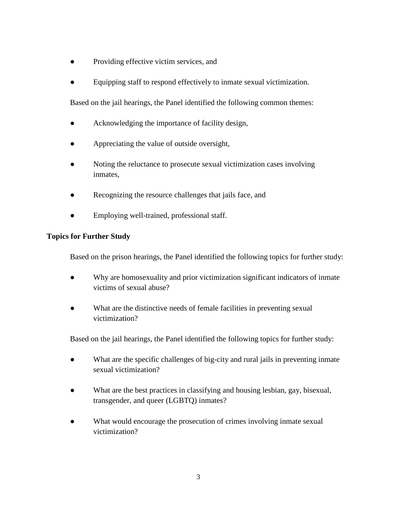- Providing effective victim services, and
- Equipping staff to respond effectively to inmate sexual victimization.

Based on the jail hearings, the Panel identified the following common themes:

- Acknowledging the importance of facility design,
- ● Appreciating the value of outside oversight,
- Noting the reluctance to prosecute sexual victimization cases involving inmates,
- ● Recognizing the resource challenges that jails face, and
- Employing well-trained, professional staff.

### **Topics for Further Study**

Based on the prison hearings, the Panel identified the following topics for further study:

- **●** Why are homosexuality and prior victimization significant indicators of inmate victims of sexual abuse?
- What are the distinctive needs of female facilities in preventing sexual victimization?

Based on the jail hearings, the Panel identified the following topics for further study:

- What are the specific challenges of big-city and rural jails in preventing inmate sexual victimization?
- ● What are the best practices in classifying and housing lesbian, gay, bisexual, transgender, and queer (LGBTQ) inmates?
- What would encourage the prosecution of crimes involving inmate sexual victimization?